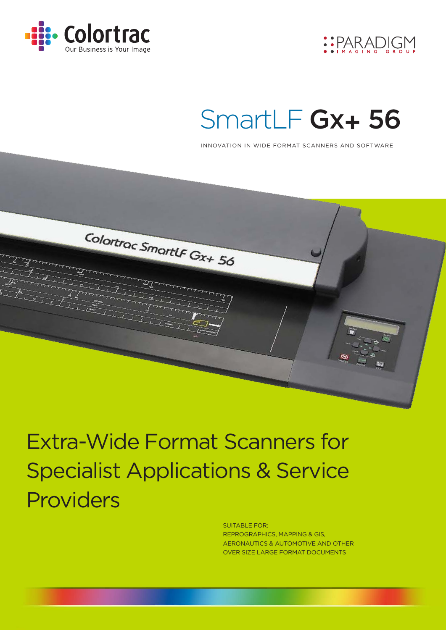



# SmartLF Gx+ 56

INNOVATION IN WIDE FORMAT SCANNERS AND SOFTWARE



Extra-Wide Format Scanners for Specialist Applications & Service Providers

> SUITABLE FOR: REPROGRAPHICS, MAPPING & GIS, AERONAUTICS & AUTOMOTIVE AND OTHER OVER SIZE LARGE FORMAT DOCUMENTS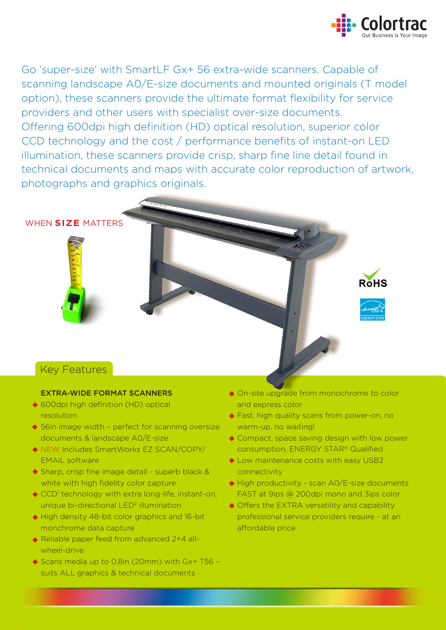

**ROHS** 

Go 'super-size' with SmartLF Gx+ 56 extra-wide scanners. Capable of scanning landscape A0/E-size documents and mounted originals (T model option), these scanners provide the ultimate format flexibility for service providers and other users with specialist over-size documents. Offering 600dpi high definition (HD) optical resolution, superior color CCD technology and the cost / performance benefits of instant-on LED illumination, these scanners provide crisp, sharp fine line detail found in technical documents and maps with accurate color reproduction of artwork, photographs and graphics originals.

WHEN **SIZE** MATTERS

## Key Features

### EXTRA-WIDE FORMAT SCANNERS

- ◆ 600dpi high definition (HD) optical resolution
- ◆ 56in image width perfect for scanning oversize documents & landscape A0/E-size
- ◆ NEW Includes SmartWorks EZ SCAN/COPY/ EMAIL software
- ◆ Sharp, crisp fine image detail superb black & white with high fidelity color capture
- CCD<sup>1</sup> technology with extra long-life, instant-on, unique bi-directional LED<sup>2</sup> illumination
- ◆ High density 48-bit color graphics and 16-bit monchrome data capture
- ◆ Reliable paper feed from advanced 2+4 allwheel-drive
- ◆ Scans media up to 0.8in (20mm) with Gx+ T56 suits ALL graphics & technical documents
- On-site upgrade from monochrome to color and express color
- ◆ Fast, high quality scans from power-on, no warm-up, no waiting!
- ◆ Compact, space saving design with low power consumption, ENERGY STAR® Qualified
- $\blacklozenge$  Low maintenance costs with easy USB2 connectivity
- ◆ High productivity scan A0/E-size documents FAST at 9ips @ 200dpi mono and 3ips color
- ◆ Offers the EXTRA versatility and capability professional service providers require - at an affordable price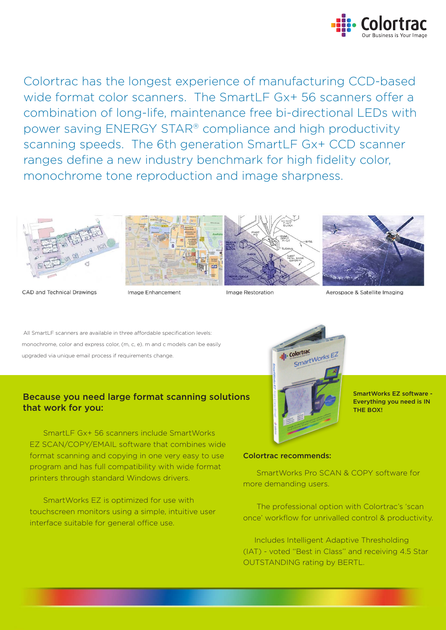

Colortrac has the longest experience of manufacturing CCD-based wide format color scanners. The SmartLF Gx+ 56 scanners offer a combination of long-life, maintenance free bi-directional LEDs with power saving ENERGY STAR® compliance and high productivity scanning speeds. The 6th generation SmartLF Gx+ CCD scanner ranges define a new industry benchmark for high fidelity color, monochrome tone reproduction and image sharpness.



CAD and Technical Drawings



Image Enhancement

Image Restoration



Aerospace & Satellite Imaging

All SmartLF scanners are available in three affordable specification levels: monochrome, color and express color, (m, c, e). m and c models can be easily upgraded via unique email process if requirements change.

### Because you need large format scanning solutions that work for you:

 SmartLF Gx+ 56 scanners include SmartWorks EZ SCAN/COPY/EMAIL software that combines wide format scanning and copying in one very easy to use program and has full compatibility with wide format printers through standard Windows drivers.

 SmartWorks EZ is optimized for use with touchscreen monitors using a simple, intuitive user interface suitable for general office use.



SmartWorks EZ software - Everything you need is IN THE BOX!

### Colortrac recommends:

 SmartWorks Pro SCAN & COPY software for more demanding users.

 The professional option with Colortrac's 'scan once' workflow for unrivalled control & productivity.

 Includes Intelligent Adaptive Thresholding (IAT) - voted ''Best in Class'' and receiving 4.5 Star OUTSTANDING rating by BERTL.